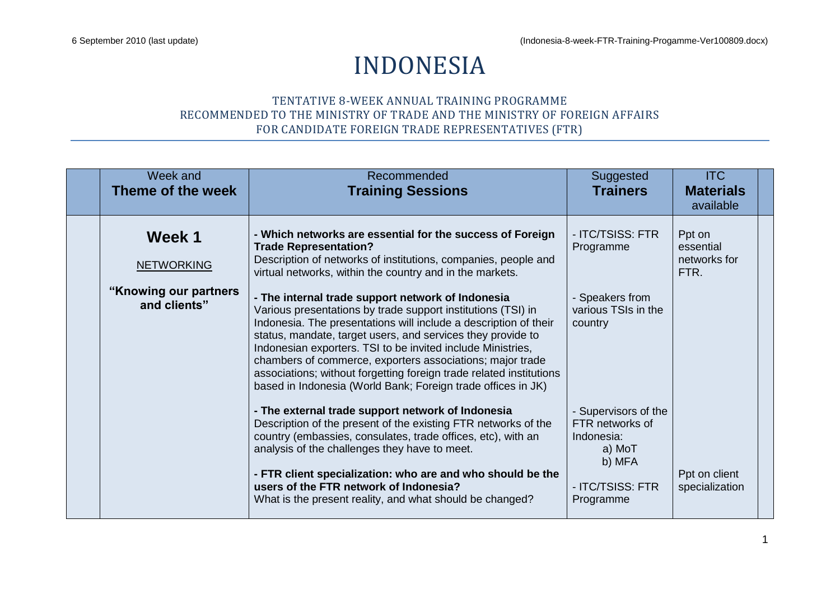## INDONESIA

## TENTATIVE 8-WEEK ANNUAL TRAINING PROGRAMME RECOMMENDED TO THE MINISTRY OF TRADE AND THE MINISTRY OF FOREIGN AFFAIRS FOR CANDIDATE FOREIGN TRADE REPRESENTATIVES (FTR)

| Week and<br>Theme of the week          | Recommended<br><b>Training Sessions</b>                                                                                                                                                                                                                                                                                                                                                                                                                                                                                 | Suggested<br><b>Trainers</b>                                              | <b>ITC</b><br><b>Materials</b><br>available |  |
|----------------------------------------|-------------------------------------------------------------------------------------------------------------------------------------------------------------------------------------------------------------------------------------------------------------------------------------------------------------------------------------------------------------------------------------------------------------------------------------------------------------------------------------------------------------------------|---------------------------------------------------------------------------|---------------------------------------------|--|
| Week 1<br><b>NETWORKING</b>            | - Which networks are essential for the success of Foreign<br><b>Trade Representation?</b><br>Description of networks of institutions, companies, people and<br>virtual networks, within the country and in the markets.                                                                                                                                                                                                                                                                                                 | - ITC/TSISS: FTR<br>Programme                                             | Ppt on<br>essential<br>networks for<br>FTR. |  |
| "Knowing our partners"<br>and clients" | - The internal trade support network of Indonesia<br>Various presentations by trade support institutions (TSI) in<br>Indonesia. The presentations will include a description of their<br>status, mandate, target users, and services they provide to<br>Indonesian exporters. TSI to be invited include Ministries,<br>chambers of commerce, exporters associations; major trade<br>associations; without forgetting foreign trade related institutions<br>based in Indonesia (World Bank; Foreign trade offices in JK) | - Speakers from<br>various TSIs in the<br>country                         |                                             |  |
|                                        | - The external trade support network of Indonesia<br>Description of the present of the existing FTR networks of the<br>country (embassies, consulates, trade offices, etc), with an<br>analysis of the challenges they have to meet.                                                                                                                                                                                                                                                                                    | - Supervisors of the<br>FTR networks of<br>Indonesia:<br>a) MoT<br>b) MFA |                                             |  |
|                                        | - FTR client specialization: who are and who should be the<br>users of the FTR network of Indonesia?<br>What is the present reality, and what should be changed?                                                                                                                                                                                                                                                                                                                                                        | - ITC/TSISS: FTR<br>Programme                                             | Ppt on client<br>specialization             |  |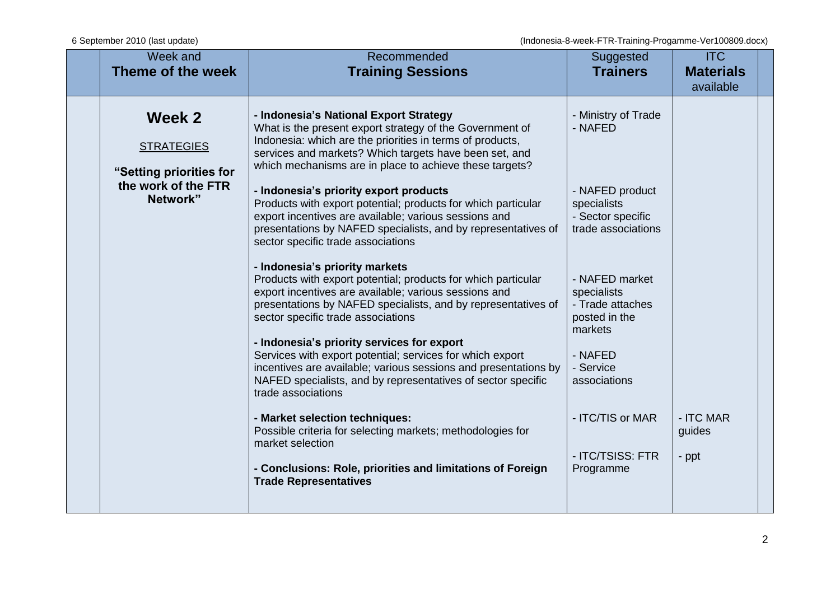| Week and<br>Theme of the week                                                             | Recommended<br><b>Training Sessions</b>                                                                                                                                                                                                                                                                                                                                                                                                                                                                                                                                                                                                                                                                                                                                                                                                                                                                                                                                                                                                                                                                                                                                                                                                                                                                                  | Suggested<br><b>Trainers</b>                                                                                                                                                                                                                                                              | <b>ITC</b><br><b>Materials</b><br>available |  |
|-------------------------------------------------------------------------------------------|--------------------------------------------------------------------------------------------------------------------------------------------------------------------------------------------------------------------------------------------------------------------------------------------------------------------------------------------------------------------------------------------------------------------------------------------------------------------------------------------------------------------------------------------------------------------------------------------------------------------------------------------------------------------------------------------------------------------------------------------------------------------------------------------------------------------------------------------------------------------------------------------------------------------------------------------------------------------------------------------------------------------------------------------------------------------------------------------------------------------------------------------------------------------------------------------------------------------------------------------------------------------------------------------------------------------------|-------------------------------------------------------------------------------------------------------------------------------------------------------------------------------------------------------------------------------------------------------------------------------------------|---------------------------------------------|--|
| Week 2<br><b>STRATEGIES</b><br>"Setting priorities for<br>the work of the FTR<br>Network" | - Indonesia's National Export Strategy<br>What is the present export strategy of the Government of<br>Indonesia: which are the priorities in terms of products,<br>services and markets? Which targets have been set, and<br>which mechanisms are in place to achieve these targets?<br>- Indonesia's priority export products<br>Products with export potential; products for which particular<br>export incentives are available; various sessions and<br>presentations by NAFED specialists, and by representatives of<br>sector specific trade associations<br>- Indonesia's priority markets<br>Products with export potential; products for which particular<br>export incentives are available; various sessions and<br>presentations by NAFED specialists, and by representatives of<br>sector specific trade associations<br>- Indonesia's priority services for export<br>Services with export potential; services for which export<br>incentives are available; various sessions and presentations by<br>NAFED specialists, and by representatives of sector specific<br>trade associations<br>- Market selection techniques:<br>Possible criteria for selecting markets; methodologies for<br>market selection<br>- Conclusions: Role, priorities and limitations of Foreign<br><b>Trade Representatives</b> | - Ministry of Trade<br>- NAFED<br>- NAFED product<br>specialists<br>- Sector specific<br>trade associations<br>- NAFED market<br>specialists<br>- Trade attaches<br>posted in the<br>markets<br>- NAFED<br>- Service<br>associations<br>- ITC/TIS or MAR<br>- ITC/TSISS: FTR<br>Programme | - ITC MAR<br>guides<br>- ppt                |  |
|                                                                                           |                                                                                                                                                                                                                                                                                                                                                                                                                                                                                                                                                                                                                                                                                                                                                                                                                                                                                                                                                                                                                                                                                                                                                                                                                                                                                                                          |                                                                                                                                                                                                                                                                                           |                                             |  |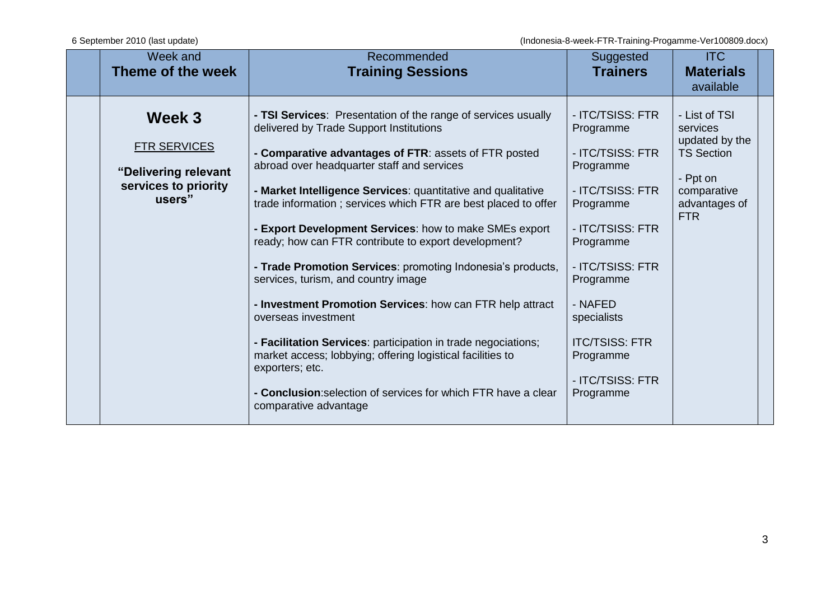| Week and<br>Theme of the week                                                           | Recommended<br><b>Training Sessions</b>                                                                                                                                                                                                                                                                                                                                                                                                                                                                                                                                                                                                                                                                                                                                                                                                                                                                    | Suggested<br><b>Trainers</b>                                                                                                                                                                                                                                       | <b>ITC</b><br><b>Materials</b><br>available                                                                                |  |
|-----------------------------------------------------------------------------------------|------------------------------------------------------------------------------------------------------------------------------------------------------------------------------------------------------------------------------------------------------------------------------------------------------------------------------------------------------------------------------------------------------------------------------------------------------------------------------------------------------------------------------------------------------------------------------------------------------------------------------------------------------------------------------------------------------------------------------------------------------------------------------------------------------------------------------------------------------------------------------------------------------------|--------------------------------------------------------------------------------------------------------------------------------------------------------------------------------------------------------------------------------------------------------------------|----------------------------------------------------------------------------------------------------------------------------|--|
| Week 3<br><b>FTR SERVICES</b><br>"Delivering relevant<br>services to priority<br>users" | - TSI Services: Presentation of the range of services usually<br>delivered by Trade Support Institutions<br>- Comparative advantages of FTR: assets of FTR posted<br>abroad over headquarter staff and services<br>- Market Intelligence Services: quantitative and qualitative<br>trade information; services which FTR are best placed to offer<br>- Export Development Services: how to make SMEs export<br>ready; how can FTR contribute to export development?<br>- Trade Promotion Services: promoting Indonesia's products,<br>services, turism, and country image<br>- Investment Promotion Services: how can FTR help attract<br>overseas investment<br>- Facilitation Services: participation in trade negociations;<br>market access; lobbying; offering logistical facilities to<br>exporters; etc.<br>- Conclusion: selection of services for which FTR have a clear<br>comparative advantage | - ITC/TSISS: FTR<br>Programme<br>- ITC/TSISS: FTR<br>Programme<br>- ITC/TSISS: FTR<br>Programme<br>- ITC/TSISS: FTR<br>Programme<br>- ITC/TSISS: FTR<br>Programme<br>- NAFED<br>specialists<br><b>ITC/TSISS: FTR</b><br>Programme<br>- ITC/TSISS: FTR<br>Programme | - List of TSI<br>services<br>updated by the<br><b>TS Section</b><br>- Ppt on<br>comparative<br>advantages of<br><b>FTR</b> |  |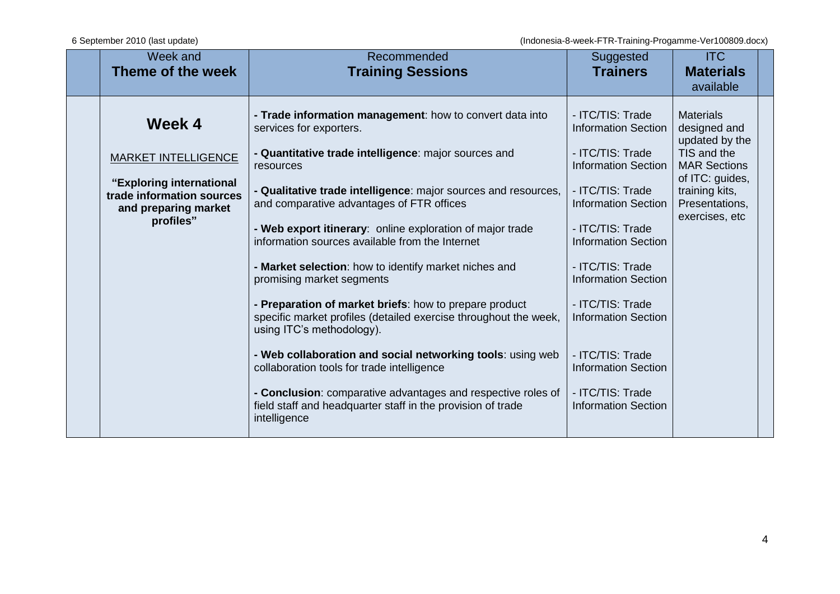| Week and<br>Theme of the week                                                                                                      | Recommended<br><b>Training Sessions</b>                                                                                                                                                                                                                                                                                                                                                                                                                                                                                                                                                                                                                                                                                                                                                                                                                                                             | Suggested<br><b>Trainers</b>                                                                                                                                                                                                                                                                                                                                                                                 | <b>ITC</b><br><b>Materials</b><br>available                                                                                                                       |  |
|------------------------------------------------------------------------------------------------------------------------------------|-----------------------------------------------------------------------------------------------------------------------------------------------------------------------------------------------------------------------------------------------------------------------------------------------------------------------------------------------------------------------------------------------------------------------------------------------------------------------------------------------------------------------------------------------------------------------------------------------------------------------------------------------------------------------------------------------------------------------------------------------------------------------------------------------------------------------------------------------------------------------------------------------------|--------------------------------------------------------------------------------------------------------------------------------------------------------------------------------------------------------------------------------------------------------------------------------------------------------------------------------------------------------------------------------------------------------------|-------------------------------------------------------------------------------------------------------------------------------------------------------------------|--|
| Week 4<br><b>MARKET INTELLIGENCE</b><br>"Exploring international<br>trade information sources<br>and preparing market<br>profiles" | - Trade information management: how to convert data into<br>services for exporters.<br>- Quantitative trade intelligence: major sources and<br>resources<br>- Qualitative trade intelligence: major sources and resources,<br>and comparative advantages of FTR offices<br>- Web export itinerary: online exploration of major trade<br>information sources available from the Internet<br>- Market selection: how to identify market niches and<br>promising market segments<br>- Preparation of market briefs: how to prepare product<br>specific market profiles (detailed exercise throughout the week,<br>using ITC's methodology).<br>- Web collaboration and social networking tools: using web<br>collaboration tools for trade intelligence<br>- Conclusion: comparative advantages and respective roles of<br>field staff and headquarter staff in the provision of trade<br>intelligence | - ITC/TIS: Trade<br><b>Information Section</b><br>- ITC/TIS: Trade<br><b>Information Section</b><br>- ITC/TIS: Trade<br><b>Information Section</b><br>- ITC/TIS: Trade<br><b>Information Section</b><br>- ITC/TIS: Trade<br><b>Information Section</b><br>- ITC/TIS: Trade<br><b>Information Section</b><br>- ITC/TIS: Trade<br><b>Information Section</b><br>- ITC/TIS: Trade<br><b>Information Section</b> | <b>Materials</b><br>designed and<br>updated by the<br>TIS and the<br><b>MAR Sections</b><br>of ITC: guides,<br>training kits,<br>Presentations,<br>exercises, etc |  |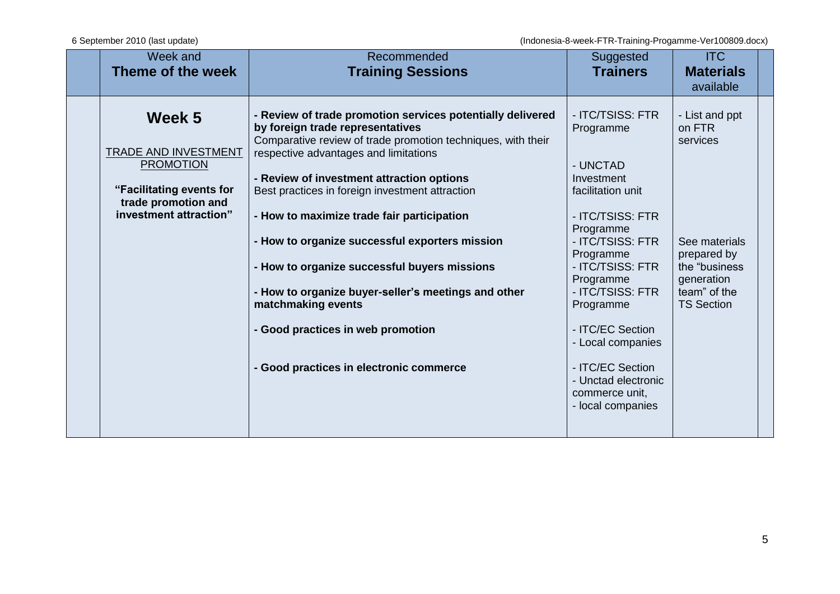| Week and<br>Theme of the week                                                                                                          | Recommended<br><b>Training Sessions</b>                                                                                                                                                                                                                                                                                                                                                                                                                                                                                                                                                                              | Suggested<br><b>Trainers</b>                                                                                                                                                                                                                                                                                                                | <b>ITC</b><br><b>Materials</b><br>available                                                                                               |
|----------------------------------------------------------------------------------------------------------------------------------------|----------------------------------------------------------------------------------------------------------------------------------------------------------------------------------------------------------------------------------------------------------------------------------------------------------------------------------------------------------------------------------------------------------------------------------------------------------------------------------------------------------------------------------------------------------------------------------------------------------------------|---------------------------------------------------------------------------------------------------------------------------------------------------------------------------------------------------------------------------------------------------------------------------------------------------------------------------------------------|-------------------------------------------------------------------------------------------------------------------------------------------|
| Week 5<br><b>TRADE AND INVESTMENT</b><br><b>PROMOTION</b><br>"Facilitating events for<br>trade promotion and<br>investment attraction" | - Review of trade promotion services potentially delivered<br>by foreign trade representatives<br>Comparative review of trade promotion techniques, with their<br>respective advantages and limitations<br>- Review of investment attraction options<br>Best practices in foreign investment attraction<br>- How to maximize trade fair participation<br>- How to organize successful exporters mission<br>- How to organize successful buyers missions<br>- How to organize buyer-seller's meetings and other<br>matchmaking events<br>- Good practices in web promotion<br>- Good practices in electronic commerce | - ITC/TSISS: FTR<br>Programme<br>- UNCTAD<br>Investment<br>facilitation unit<br>- ITC/TSISS: FTR<br>Programme<br>- ITC/TSISS: FTR<br>Programme<br>- ITC/TSISS: FTR<br>Programme<br>- ITC/TSISS: FTR<br>Programme<br>- ITC/EC Section<br>- Local companies<br>- ITC/EC Section<br>- Unctad electronic<br>commerce unit,<br>- local companies | - List and ppt<br>on FTR<br>services<br>See materials<br>prepared by<br>the "business"<br>generation<br>team" of the<br><b>TS Section</b> |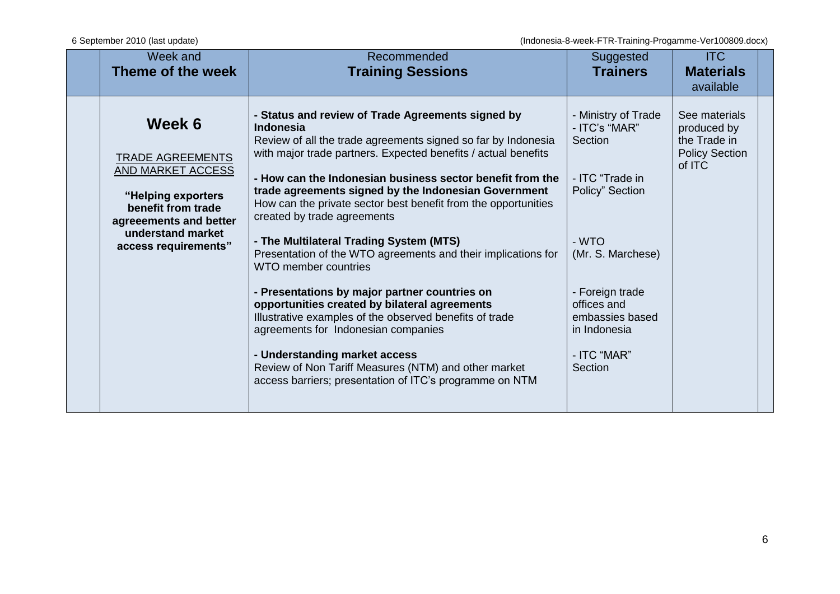| Week and<br>Theme of the week                                                                                                                                             | Recommended<br><b>Training Sessions</b>                                                                                                                                                                                                                                                                                                                                                                                                                                                                                                                                                                                                                                                                                                                                                                                                                  | Suggested<br><b>Trainers</b>                                                                                                                                                                                       | <b>ITC</b><br><b>Materials</b><br>available                                     |  |
|---------------------------------------------------------------------------------------------------------------------------------------------------------------------------|----------------------------------------------------------------------------------------------------------------------------------------------------------------------------------------------------------------------------------------------------------------------------------------------------------------------------------------------------------------------------------------------------------------------------------------------------------------------------------------------------------------------------------------------------------------------------------------------------------------------------------------------------------------------------------------------------------------------------------------------------------------------------------------------------------------------------------------------------------|--------------------------------------------------------------------------------------------------------------------------------------------------------------------------------------------------------------------|---------------------------------------------------------------------------------|--|
| Week 6<br><b>TRADE AGREEMENTS</b><br>AND MARKET ACCESS<br>"Helping exporters<br>benefit from trade<br>agreeements and better<br>understand market<br>access requirements" | - Status and review of Trade Agreements signed by<br>Indonesia<br>Review of all the trade agreements signed so far by Indonesia<br>with major trade partners. Expected benefits / actual benefits<br>- How can the Indonesian business sector benefit from the<br>trade agreements signed by the Indonesian Government<br>How can the private sector best benefit from the opportunities<br>created by trade agreements<br>- The Multilateral Trading System (MTS)<br>Presentation of the WTO agreements and their implications for<br>WTO member countries<br>- Presentations by major partner countries on<br>opportunities created by bilateral agreements<br>Illustrative examples of the observed benefits of trade<br>agreements for Indonesian companies<br>- Understanding market access<br>Review of Non Tariff Measures (NTM) and other market | - Ministry of Trade<br>- ITC's "MAR"<br>Section<br>- ITC "Trade in<br>Policy" Section<br>- WTO<br>(Mr. S. Marchese)<br>- Foreign trade<br>offices and<br>embassies based<br>in Indonesia<br>- ITC "MAR"<br>Section | See materials<br>produced by<br>the Trade in<br><b>Policy Section</b><br>of ITC |  |
|                                                                                                                                                                           | access barriers; presentation of ITC's programme on NTM                                                                                                                                                                                                                                                                                                                                                                                                                                                                                                                                                                                                                                                                                                                                                                                                  |                                                                                                                                                                                                                    |                                                                                 |  |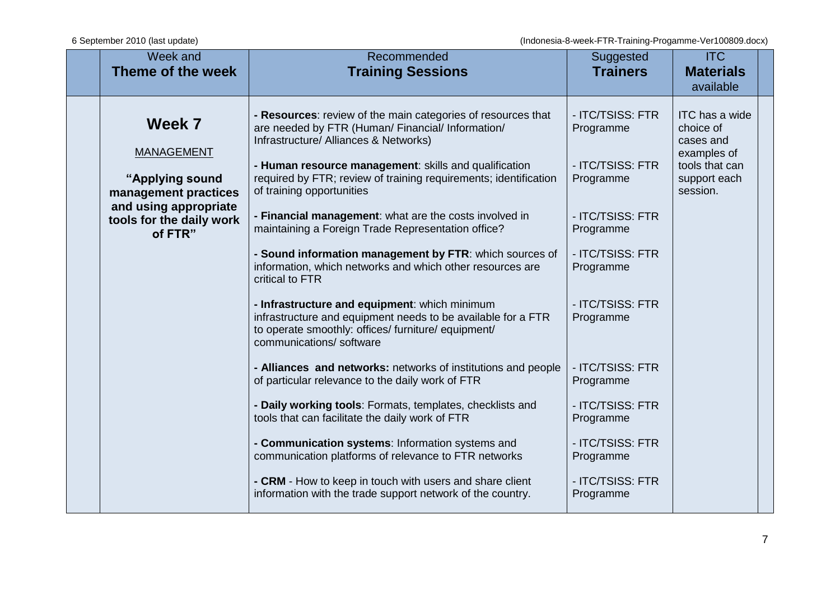| Week and<br>Theme of the week                                    | Recommended<br><b>Training Sessions</b>                                                                                                                                                                             | Suggested<br><b>Trainers</b>                      | <b>ITC</b><br><b>Materials</b><br>available                               |  |
|------------------------------------------------------------------|---------------------------------------------------------------------------------------------------------------------------------------------------------------------------------------------------------------------|---------------------------------------------------|---------------------------------------------------------------------------|--|
| Week 7<br><b>MANAGEMENT</b>                                      | - Resources: review of the main categories of resources that<br>are needed by FTR (Human/ Financial/ Information/<br>Infrastructure/ Alliances & Networks)<br>- Human resource management: skills and qualification | - ITC/TSISS: FTR<br>Programme<br>- ITC/TSISS: FTR | ITC has a wide<br>choice of<br>cases and<br>examples of<br>tools that can |  |
| "Applying sound<br>management practices<br>and using appropriate | required by FTR; review of training requirements; identification<br>of training opportunities                                                                                                                       | Programme                                         | support each<br>session.                                                  |  |
| tools for the daily work<br>of FTR"                              | - Financial management: what are the costs involved in<br>maintaining a Foreign Trade Representation office?<br>- Sound information management by FTR: which sources of                                             | - ITC/TSISS: FTR<br>Programme<br>- ITC/TSISS: FTR |                                                                           |  |
|                                                                  | information, which networks and which other resources are<br>critical to FTR                                                                                                                                        | Programme                                         |                                                                           |  |
|                                                                  | - Infrastructure and equipment: which minimum<br>infrastructure and equipment needs to be available for a FTR<br>to operate smoothly: offices/ furniture/ equipment/<br>communications/ software                    | - ITC/TSISS: FTR<br>Programme                     |                                                                           |  |
|                                                                  | - Alliances and networks: networks of institutions and people<br>of particular relevance to the daily work of FTR                                                                                                   | - ITC/TSISS: FTR<br>Programme                     |                                                                           |  |
|                                                                  | - Daily working tools: Formats, templates, checklists and<br>tools that can facilitate the daily work of FTR                                                                                                        | - ITC/TSISS: FTR<br>Programme                     |                                                                           |  |
|                                                                  | - Communication systems: Information systems and<br>communication platforms of relevance to FTR networks                                                                                                            | - ITC/TSISS: FTR<br>Programme                     |                                                                           |  |
|                                                                  | - CRM - How to keep in touch with users and share client<br>information with the trade support network of the country.                                                                                              | - ITC/TSISS: FTR<br>Programme                     |                                                                           |  |